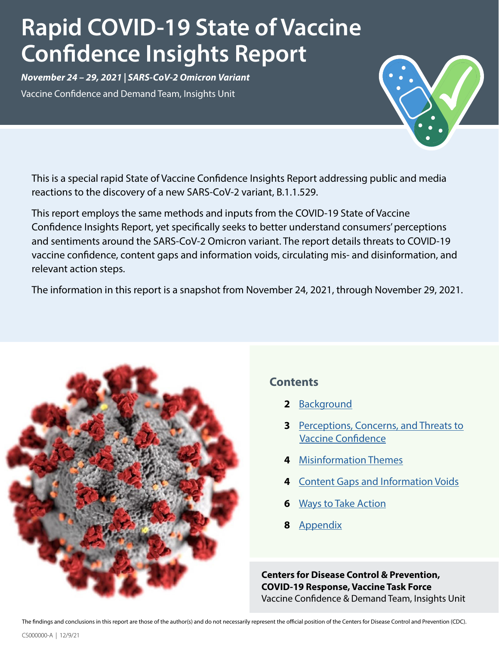# **Rapid COVID-19 State of Vaccine Confidence Insights Report**

*November 24 – 29, 2021 | SARS-CoV-2 Omicron Variant*  Vaccine Confidence and Demand Team, Insights Unit

This is a special rapid State of Vaccine Confidence Insights Report addressing public and media reactions to the discovery of a new SARS-CoV-2 variant, B.1.1.529.

This report employs the same methods and inputs from the COVID-19 State of Vaccine Confidence Insights Report, yet specifically seeks to better understand consumers' perceptions and sentiments around the SARS-CoV-2 Omicron variant. The report details threats to COVID-19 vaccine confidence, content gaps and information voids, circulating mis- and disinformation, and relevant action steps.

The information in this report is a snapshot from November 24, 2021, through November 29, 2021.



### **Contents**

- **2** [Background](#page-1-0)
- **3** [Perceptions, Concerns, and Threats to](#page-2-0)   [Vaccine Confidence](#page-2-0)
- **4** [Misinformation Themes](#page-3-0)
- **4** [Content Gaps and Information Voids](#page-4-0)
- **6** [Ways to Take Action](#page-5-0)
- **8** [Appendix](#page-6-0)

**Centers for Disease Control & Prevention, COVID-19 Response, Vaccine Task Force** Vaccine Confidence & Demand Team, Insights Unit

The findings and conclusions in this report are those of the author(s) and do not necessarily represent the official position of the Centers for Disease Control and Prevention (CDC).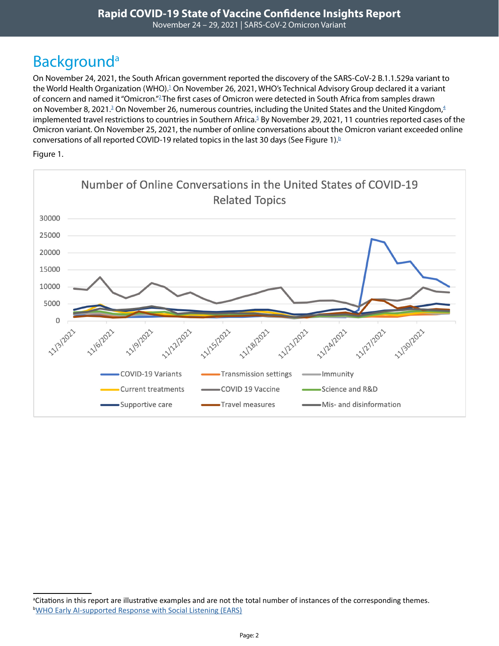# <span id="page-1-0"></span>**Background**<sup>a</sup>

On November 24, 2021, the South African government reported the discovery of the SARS-CoV-2 B.1.1.529a variant to the World Health Organization (WHO).<sup>1</sup> On November 26, 2021, WHO's Technical Advisory Group declared it a variant of concern and named it "Omicron."[2](https://www.who.int/news/item/26-11-2021-classification-of-omicron-(b.1.1.529)-sars-cov-2-variant-of-concern) The first cases of Omicron were detected in South Africa from samples drawn on November 8, 2021. $^3$  On November 26, numerous countries, including the United States and the United Kingdom, $^4$  $^4$ implemented travel restrictions to countries in Southern Africa.<sup>[5](https://www.nytimes.com/2021/11/26/world/europe/coronavirus-omicron-variant.html)</sup> By November 29, 2021, 11 countries reported cases of the Omicron variant. On November 25, 2021, the number of online conversations about the Omicron variant exceeded online conversations of all reported COVID-19 related topics in the last 30 days (See Figure 1).<sup>b</sup>

Figure 1.



<sup>&</sup>lt;sup>a</sup>Citations in this report are illustrative examples and are not the total number of instances of the corresponding themes. <sup>b</sup>[WHO Early AI-supported Response with Social Listening \(EARS\)](https://www.who-ears.com/)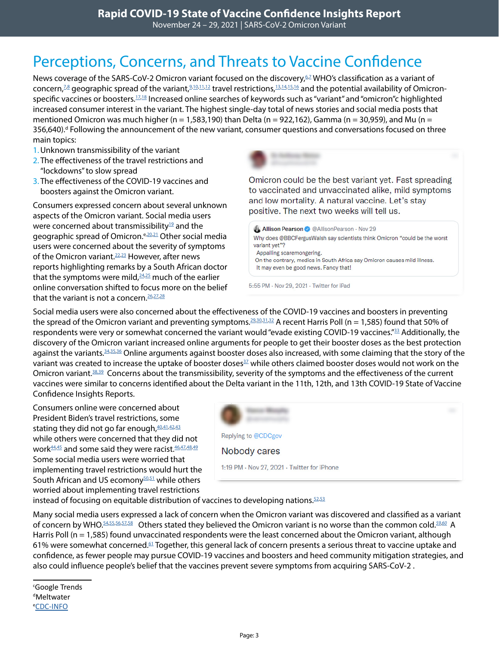# <span id="page-2-0"></span>Perceptions, Concerns, and Threats to Vaccine Confidence

News coverage of the SARS-CoV-2 Omicron variant focused on the discovery, $^{57}$  $^{57}$  $^{57}$ WHO's classification as a variant of concern,<sup>7,[8](https://www.foxnews.com/health/who-omicron-covid-19-variant-of-concern)</sup> geographic spread of the variant,<sup>9,[10](https://www.cnbc.com/2021/11/27/the-world-is-on-alert-as-the-uk-reports-cases-of-omicron-covid-variant.html)[,11,](https://www.latimes.com/california/story/2021-11-28/officials-warn-of-new-winter-covid-19-wave-with-new-highly-transmissible-variant)[12](https://www.cnbc.com/2021/11/29/omicron-variant-spreads-across-world-heres-what-we-know.html)</sup> travel restrictions,<sup>[13](https://www.nytimes.com/2021/11/26/world/europe/coronavirus-omicron-variant.html)[,14,](https://www.usatoday.com/story/travel/airline-news/2021/11/26/covid-travel-restrictions-omicron-white-house-ban-africa/8764805002/)[15](https://www.cnbc.com/2021/11/29/biden-says-he-doesnt-expect-more-travel-restrictions-or-lockdowns-as-omicron-covid-variant-spreads.html),16</sup> and the potential availability of Omicron-specific vaccines or boosters.<sup>17,[18](https://www.cnbc.com/2021/11/26/pfizer-biontech-investigating-new-covid-variant-jj-testing-vaccine-against-it.html)</sup> Increased online searches of keywords such as "variant" and "omicron"c highlighted increased consumer interest in the variant. The highest single-day total of news stories and social media posts that mentioned Omicron was much higher (n = 1,583,190) than Delta (n = 922,162), Gamma (n = 30,959), and Mu (n = 356,640).<sup>d</sup> Following the announcement of the new variant, consumer questions and conversations focused on three main topics:

- 1.Unknown transmissibility of the variant
- 2. The effectiveness of the travel restrictions and "lockdowns" to slow spread
- 3. The effectiveness of the COVID-19 vaccines and boosters against the Omicron variant.

Consumers expressed concern about several unknown aspects of the Omicron variant. Social media users were concerned about transmissibility<sup>19</sup> and the geographic spread of Omicron.<sup>e[,20,](https://twitter.com/TownAngele/status/1464725081658216448)[21](https://twitter.com/Virago_Spirit/status/1464981676552073222)</sup> Other social media users were concerned about the severity of symptoms of the Omicron variant.<sup>22,23</sup> However, after news reports highlighting remarks by a South African doctor that the symptoms were mild, $24,25$  $24,25$  much of the earlier online conversation shifted to focus more on the belief that the variant is not a concern.  $26,27,28$  $26,27,28$  $26,27,28$ 

Omicron could be the best variant yet. Fast spreading to vaccinated and unvaccinated alike, mild symptoms and low mortality. A natural vaccine. Let's stay positive. The next two weeks will tell us.

Allison Pearson @ @AllisonPearson · Nov 29 Why does @BBCFergusWalsh say scientists think Omicron "could be the worst variant vet"? Appalling scaremongering. On the contrary, medics in South Africa say Omicron causes mild illness.

It may even be good news. Fancy that!

5:55 PM - Nov 29, 2021 - Twitter for iPad

Social media users were also concerned about the effectiveness of the COVID-19 vaccines and boosters in preventing the spread of the Omicron variant and preventing symptoms.<sup>29,[30](https://twitter.com/LinimentCake/status/1464677262842732551)[,31,](https://www.instagram.com/p/CWvyVjgsSh6/c/17916872351005041/)[32](https://www.instagram.com/p/CWvyVjgsSh6/c/17979906529442638/)</sup> A recent Harris Poll (n = 1,585) found that 50% of respondents were very or somewhat concerned the variant would "evade existing COVID-19 vaccines."<sup>33</sup> Additionally, the discovery of the Omicron variant increased online arguments for people to get their booster doses as the best protection against the variants.<sup>[34](https://twitter.com/GavinNewsom/status/1464639929867137032),[35,](https://twitter.com/POTUS/status/1465367679439720457)[36](https://twitter.com/DanRather/status/1461376568597499908)</sup> Online arguments against booster doses also increased, with some claiming that the story of the variant was created to increase the uptake of booster doses<sup>[37](https://twitter.com/anthoniomandika/status/1464887006014722050)</sup> while others claimed booster doses would not work on the Omicron variant.<sup>38,[39](https://twitter.com/USlawreview/status/1464972103577477121)</sup> Concerns about the transmissibility, severity of the symptoms and the effectiveness of the current vaccines were similar to concerns identified about the Delta variant in the 11th, 12th, and 13th COVID-19 State of Vaccine Confidence Insights Reports.

Consumers online were concerned about President Biden's travel restrictions, some stating they did not go far enough, $40,41,42,43$  $40,41,42,43$  $40,41,42,43$  $40,41,42,43$ while others were concerned that they did not work<sup>44,[45](https://twitter.com/kylenabecker/status/1465803926737989634)</sup> and some said they were racist. 46,[47](https://www.facebook.com/POTUS/posts/428288259247708?comment_id=428298862579981)[,48,](https://twitter.com/LangmanVince/status/1464406793573044227)[49](https://twitter.com/FiveTimesAugust/status/1464443675459702789) Some social media users were worried that implementing travel restrictions would hurt the South African and US ecomony<sup>50,51</sup> while others worried about implementing travel restrictions



instead of focusing on equitable distribution of vaccines to developing nations. $52,53$  $52,53$ 

Many social media users expressed a lack of concern when the Omicron variant was discovered and classified as a variant of concern by WHO.[54](https://twitter.com/brocolitis/status/1464687081133948930)[,55,](https://www.instagram.com/p/CW6MZcwMXPU/c/17927268991901427/)[56](https://twitter.com/RedPill82594119/status/1464677776036753410)[,57,](https://twitter.com/vancemurphy/status/1464660146156494850)[58](https://twitter.com/CargoL1fe/status/1464652910139113475) Others stated they believed the Omicron variant is no worse than the common cold.*[59](https://twitter.com/StockGod12/status/1464977717158424579)*,*[60](https://twitter.com/BethBry21419/status/1465123624478818314)* A Harris Poll (n = 1,585) found unvaccinated respondents were the least concerned about the Omicron variant, although 61% were somewhat concerned.<sup>61</sup> Together, this general lack of concern presents a serious threat to vaccine uptake and confidence, as fewer people may pursue COVID-19 vaccines and boosters and heed community mitigation strategies, and also could influence people's belief that the vaccines prevent severe symptoms from acquiring SARS-CoV-2 .

c Google Trends  $d$ Meltwater e [CDC-INFO](https://www.cdc.gov/cdc-info/index.html)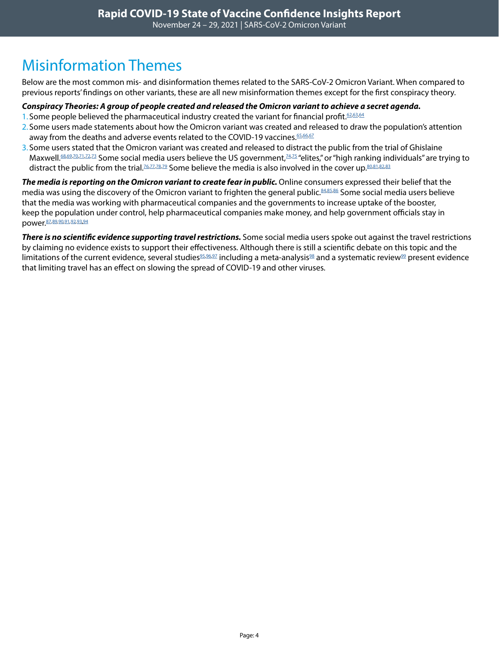## <span id="page-3-0"></span>Misinformation Themes

Below are the most common mis- and disinformation themes related to the SARS-CoV-2 Omicron Variant. When compared to previous reports' findings on other variants, these are all new misinformation themes except for the first conspiracy theory.

#### *Conspiracy Theories: A group of people created and released the Omicron variant to achieve a secret agenda.*

- 1. Some people believed the pharmaceutical industry created the variant for financial profit.<sup>[62](https://twitter.com/npbraden/status/1464653530204155907)[,63](https://twitter.com/SoundsLikeMe4U/status/1465345361321422851),[64](https://twitter.com/ComradeMDU/status/1465025525311807496)</sup>
- 2. Some users made statements about how the Omicron variant was created and released to draw the population's attention away from the deaths and adverse events related to the COVID-19 vaccines. 65,[66](https://twitter.com/StopPlaasmoorde/status/1465031450026250252)[,67](https://twitter.com/Francenozoica/status/1464018548943110149)
- 3. Some users stated that the Omicron variant was created and released to distract the public from the trial of Ghislaine Maxwell.<sup>88,[69](https://twitter.com/TheiCookSlug/status/1465072551676153857),[70](https://twitter.com/jamesjameson331/status/1465069961131569156)[,71](https://twitter.com/DreaSunshine/status/1465014437111160843),[72](https://twitter.com/tjlark21/status/1465070212156432399),73</sup> Some social media users believe the US government,<sup>[74](https://twitter.com/heyyy_reyna/status/1464727256035696641)[,75](https://twitter.com/lone_rides/status/1464969433286389763)</sup> "elites," or "high ranking individuals" are trying to distract the public from the trial.<sup>76,[77](https://twitter.com/lone_rides/status/1464969433286389763)[,78,](https://twitter.com/Thomaspridgen/status/1464323936234078209)[79](https://twitter.com/Crypto2103/status/1464612752572522497)</sup> Some believe the media is also involved in the cover up.<sup>80,[81](https://twitter.com/lundeee/status/1464744398151897090),[82,](https://twitter.com/Justy_patriot/status/1464327052539138057)[83](https://twitter.com/search?q=(Ghislaine%20AND%20variant)%20until%3A2021-11-29%20since%3A2021-11-25&src=typed_query&f=top)</sup>

*The media is reporting on the Omicron variant to create fear in public.* Online consumers expressed their belief that the media was using the discovery of the Omicron variant to frighten the general public.[84](https://twitter.com/B1GBAZ2/status/1465057975173844997)[,85,](https://twitter.com/IronLyranian/status/1465005284242432001)[86](https://twitter.com/isi_gift/status/1464884147361652739) Some social media users believe that the media was working with pharmaceutical companies and the governments to increase uptake of the booster, keep the population under control, help pharmaceutical companies make money, and help government officials stay in power.[87](https://twitter.com/wyattaustere1/status/1464359076406738949)*,*[89](https://twitter.com/EsmeraldaGrape/status/1464861499097337857)*,*[90](https://twitter.com/hazelbrunette/status/1465027067242639360)*,*[91](https://twitter.com/barkhausmedia/status/1465028345779965960)*,*[92](https://twitter.com/GaryLMcArdle1/status/1464981312977215499)*,*[93](https://twitter.com/MelinMetaMan/status/1464980750441365506)*,*[94](https://twitter.com/anthoniomandika/status/1464887006014722050)

*There is no scientific evidence supporting travel restrictions.* Some social media users spoke out against the travel restrictions by claiming no evidence exists to support their effectiveness. Although there is still a scientific debate on this topic and the limitations of the current evidence, several studies<sup>95,[96](https://onlinelibrary.wiley.com/doi/full/10.1111/1753-6405.13016),97</sup> including a meta-analysis<sup>98</sup> and a systematic review<sup>99</sup> present evidence that limiting travel has an effect on slowing the spread of COVID-19 and other viruses.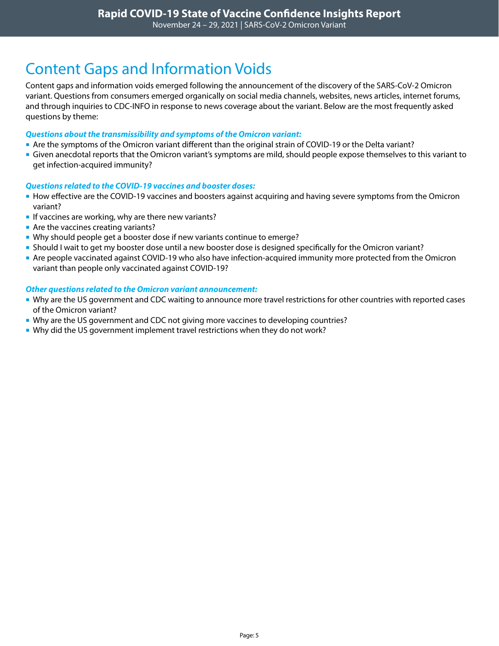### <span id="page-4-0"></span>Content Gaps and Information Voids

Content gaps and information voids emerged following the announcement of the discovery of the SARS-CoV-2 Omicron variant. Questions from consumers emerged organically on social media channels, websites, news articles, internet forums, and through inquiries to CDC-INFO in response to news coverage about the variant. Below are the most frequently asked questions by theme:

#### *Questions about the transmissibility and symptoms of the Omicron variant:*

- Are the symptoms of the Omicron variant different than the original strain of COVID-19 or the Delta variant?
- Given anecdotal reports that the Omicron variant's symptoms are mild, should people expose themselves to this variant to get infection-acquired immunity?

#### *Questions related to the COVID-19 vaccines and booster doses:*

- **How effective are the COVID-19 vaccines and boosters against acquiring and having severe symptoms from the Omicron** variant?
- If vaccines are working, why are there new variants?
- Are the vaccines creating variants?
- Why should people get a booster dose if new variants continue to emerge?
- Should I wait to get my booster dose until a new booster dose is designed specifically for the Omicron variant?
- Are people vaccinated against COVID-19 who also have infection-acquired immunity more protected from the Omicron variant than people only vaccinated against COVID-19?

#### *Other questions related to the Omicron variant announcement:*

- Why are the US government and CDC waiting to announce more travel restrictions for other countries with reported cases of the Omicron variant?
- Why are the US government and CDC not giving more vaccines to developing countries?
- **Why did the US government implement travel restrictions when they do not work?**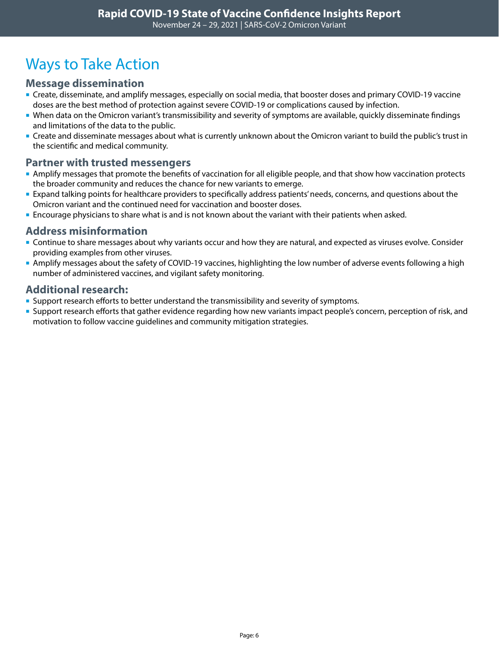# <span id="page-5-0"></span>Ways to Take Action

### **Message dissemination**

- Create, disseminate, and amplify messages, especially on social media, that booster doses and primary COVID-19 vaccine doses are the best method of protection against severe COVID-19 or complications caused by infection.
- When data on the Omicron variant's transmissibility and severity of symptoms are available, quickly disseminate findings and limitations of the data to the public.
- Create and disseminate messages about what is currently unknown about the Omicron variant to build the public's trust in the scientific and medical community.

### **Partner with trusted messengers**

- Amplify messages that promote the benefits of vaccination for all eligible people, and that show how vaccination protects the broader community and reduces the chance for new variants to emerge.
- **Expand talking points for healthcare providers to specifically address patients' needs, concerns, and questions about the** Omicron variant and the continued need for vaccination and booster doses.
- **Encourage physicians to share what is and is not known about the variant with their patients when asked.**

### **Address misinformation**

- **Continue to share messages about why variants occur and how they are natural, and expected as viruses evolve. Consider** providing examples from other viruses.
- Amplify messages about the safety of COVID-19 vaccines, highlighting the low number of adverse events following a high number of administered vaccines, and vigilant safety monitoring.

### **Additional research:**

- **Support research efforts to better understand the transmissibility and severity of symptoms.**
- **Support research efforts that gather evidence regarding how new variants impact people's concern, perception of risk, and** motivation to follow vaccine guidelines and community mitigation strategies.